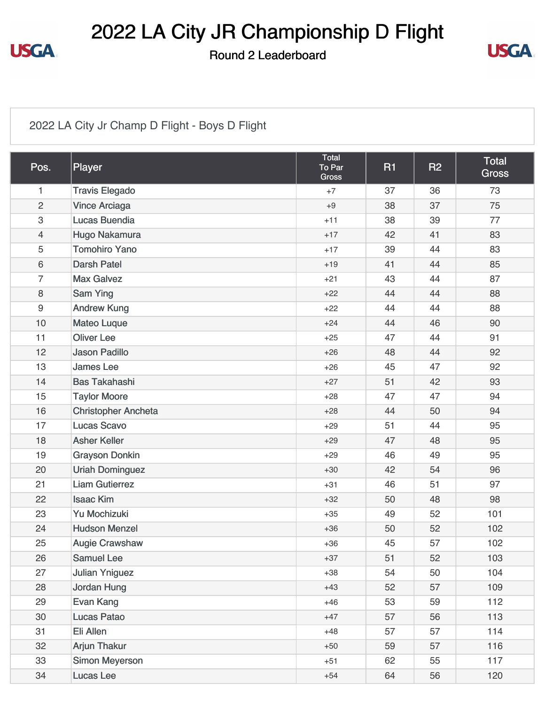

## 2022 LA City JR Championship D Flight

Round 2 Leaderboard



#### 2022 LA City Jr Champ D Flight - Boys D Flight

| Pos.                      | Player                     | Total<br>To Par<br><b>Gross</b> | R <sub>1</sub> | <b>R2</b> | <b>Total</b><br><b>Gross</b> |
|---------------------------|----------------------------|---------------------------------|----------------|-----------|------------------------------|
| 1                         | <b>Travis Elegado</b>      | $+7$                            | 37             | 36        | 73                           |
| $\overline{2}$            | <b>Vince Arciaga</b>       | $+9$                            | 38             | 37        | 75                           |
| $\ensuremath{\mathsf{3}}$ | <b>Lucas Buendia</b>       | $+11$                           | 38             | 39        | 77                           |
| $\overline{4}$            | Hugo Nakamura              | $+17$                           | 42             | 41        | 83                           |
| 5                         | <b>Tomohiro Yano</b>       | $+17$                           | 39             | 44        | 83                           |
| $6\,$                     | <b>Darsh Patel</b>         | $+19$                           | 41             | 44        | 85                           |
| $\overline{7}$            | <b>Max Galvez</b>          | $+21$                           | 43             | 44        | 87                           |
| $\,8\,$                   | Sam Ying                   | $+22$                           | 44             | 44        | 88                           |
| $\boldsymbol{9}$          | <b>Andrew Kung</b>         | $+22$                           | 44             | 44        | 88                           |
| 10                        | <b>Mateo Luque</b>         | $+24$                           | 44             | 46        | 90                           |
| 11                        | <b>Oliver Lee</b>          | $+25$                           | 47             | 44        | 91                           |
| 12                        | <b>Jason Padillo</b>       | $+26$                           | 48             | 44        | 92                           |
| 13                        | <b>James Lee</b>           | $+26$                           | 45             | 47        | 92                           |
| 14                        | <b>Bas Takahashi</b>       | $+27$                           | 51             | 42        | 93                           |
| 15                        | <b>Taylor Moore</b>        | $+28$                           | 47             | 47        | 94                           |
| 16                        | <b>Christopher Ancheta</b> | $+28$                           | 44             | 50        | 94                           |
| 17                        | <b>Lucas Scavo</b>         | $+29$                           | 51             | 44        | 95                           |
| 18                        | <b>Asher Keller</b>        | $+29$                           | 47             | 48        | 95                           |
| 19                        | <b>Grayson Donkin</b>      | $+29$                           | 46             | 49        | 95                           |
| 20                        | <b>Uriah Dominguez</b>     | $+30$                           | 42             | 54        | 96                           |
| 21                        | <b>Liam Gutierrez</b>      | $+31$                           | 46             | 51        | 97                           |
| 22                        | <b>Isaac Kim</b>           | $+32$                           | 50             | 48        | 98                           |
| 23                        | Yu Mochizuki               | $+35$                           | 49             | 52        | 101                          |
| 24                        | <b>Hudson Menzel</b>       | $+36$                           | 50             | 52        | 102                          |
| 25                        | <b>Augie Crawshaw</b>      | $+36$                           | 45             | 57        | 102                          |
| 26                        | Samuel Lee                 | $+37$                           | 51             | 52        | 103                          |
| 27                        | <b>Julian Yniguez</b>      | $+38$                           | 54             | 50        | 104                          |
| 28                        | Jordan Hung                | $+43$                           | 52             | 57        | 109                          |
| 29                        | Evan Kang                  | $+46$                           | 53             | 59        | 112                          |
| 30                        | <b>Lucas Patao</b>         | $+47$                           | 57             | 56        | 113                          |
| 31                        | Eli Allen                  | $+48$                           | 57             | 57        | 114                          |
| 32                        | <b>Arjun Thakur</b>        | $+50$                           | 59             | 57        | 116                          |
| 33                        | Simon Meyerson             | $+51$                           | 62             | 55        | 117                          |
| 34                        | Lucas Lee                  | $+54$                           | 64             | 56        | 120                          |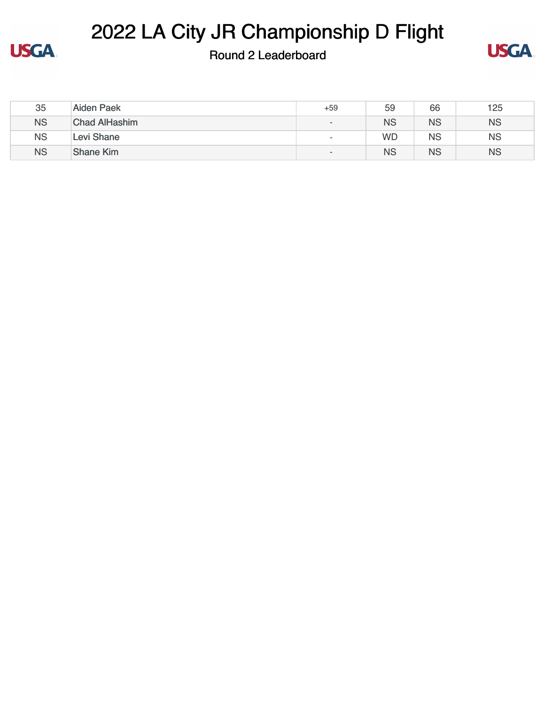

# 2022 LA City JR Championship D Flight

### Round 2 Leaderboard



| 35        | <b>Aiden Paek</b>    | +59                      | 59        | 66        | 125       |
|-----------|----------------------|--------------------------|-----------|-----------|-----------|
| <b>NS</b> | <b>Chad AlHashim</b> | $\overline{\phantom{0}}$ | <b>NS</b> | <b>NS</b> | <b>NS</b> |
| <b>NS</b> | Levi Shane           | $\overline{\phantom{0}}$ | <b>WD</b> | <b>NS</b> | <b>NS</b> |
| <b>NS</b> | <b>Shane Kim</b>     | $\overline{\phantom{a}}$ | <b>NS</b> | <b>NS</b> | <b>NS</b> |